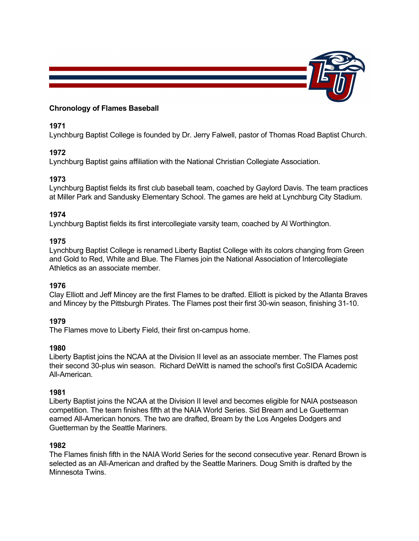

## **Chronology of Flames Baseball**

# **1971**

Lynchburg Baptist College is founded by Dr. Jerry Falwell, pastor of Thomas Road Baptist Church.

# **1972**

Lynchburg Baptist gains affiliation with the National Christian Collegiate Association.

# **1973**

Lynchburg Baptist fields its first club baseball team, coached by Gaylord Davis. The team practices at Miller Park and Sandusky Elementary School. The games are held at Lynchburg City Stadium.

# **1974**

Lynchburg Baptist fields its first intercollegiate varsity team, coached by Al Worthington.

# **1975**

Lynchburg Baptist College is renamed Liberty Baptist College with its colors changing from Green and Gold to Red, White and Blue. The Flames join the National Association of Intercollegiate Athletics as an associate member.

### **1976**

Clay Elliott and Jeff Mincey are the first Flames to be drafted. Elliott is picked by the Atlanta Braves and Mincey by the Pittsburgh Pirates. The Flames post their first 30-win season, finishing 31-10.

# **1979**

The Flames move to Liberty Field, their first on-campus home.

### **1980**

Liberty Baptist joins the NCAA at the Division II level as an associate member. The Flames post their second 30-plus win season. Richard DeWitt is named the school's first CoSIDA Academic All-American.

### **1981**

Liberty Baptist joins the NCAA at the Division II level and becomes eligible for NAIA postseason competition. The team finishes fifth at the NAIA World Series. Sid Bream and Le Guetterman earned All-American honors. The two are drafted, Bream by the Los Angeles Dodgers and Guetterman by the Seattle Mariners.

### **1982**

The Flames finish fifth in the NAIA World Series for the second consecutive year. Renard Brown is selected as an All-American and drafted by the Seattle Mariners. Doug Smith is drafted by the Minnesota Twins.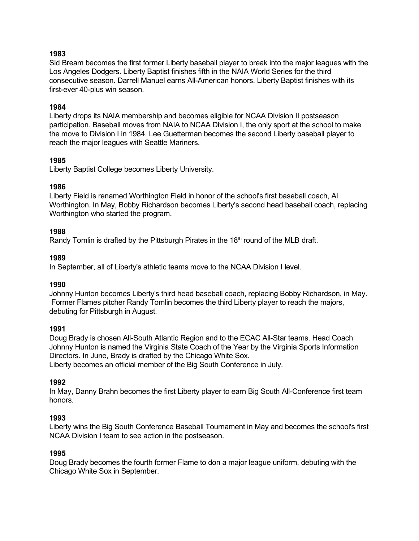# **1983**

Sid Bream becomes the first former Liberty baseball player to break into the major leagues with the Los Angeles Dodgers. Liberty Baptist finishes fifth in the NAIA World Series for the third consecutive season. Darrell Manuel earns All-American honors. Liberty Baptist finishes with its first-ever 40-plus win season.

### **1984**

Liberty drops its NAIA membership and becomes eligible for NCAA Division II postseason participation. Baseball moves from NAIA to NCAA Division I, the only sport at the school to make the move to Division I in 1984. Lee Guetterman becomes the second Liberty baseball player to reach the major leagues with Seattle Mariners.

### **1985**

Liberty Baptist College becomes Liberty University.

### **1986**

Liberty Field is renamed Worthington Field in honor of the school's first baseball coach, Al Worthington. In May, Bobby Richardson becomes Liberty's second head baseball coach, replacing Worthington who started the program.

# **1988**

Randy Tomlin is drafted by the Pittsburgh Pirates in the  $18<sup>th</sup>$  round of the MLB draft.

# **1989**

In September, all of Liberty's athletic teams move to the NCAA Division I level.

### **1990**

Johnny Hunton becomes Liberty's third head baseball coach, replacing Bobby Richardson, in May. Former Flames pitcher Randy Tomlin becomes the third Liberty player to reach the majors, debuting for Pittsburgh in August.

### **1991**

Doug Brady is chosen All-South Atlantic Region and to the ECAC All-Star teams. Head Coach Johnny Hunton is named the Virginia State Coach of the Year by the Virginia Sports Information Directors. In June, Brady is drafted by the Chicago White Sox. Liberty becomes an official member of the Big South Conference in July.

### **1992**

In May, Danny Brahn becomes the first Liberty player to earn Big South All-Conference first team honors.

### **1993**

Liberty wins the Big South Conference Baseball Tournament in May and becomes the school's first NCAA Division I team to see action in the postseason.

### **1995**

Doug Brady becomes the fourth former Flame to don a major league uniform, debuting with the Chicago White Sox in September.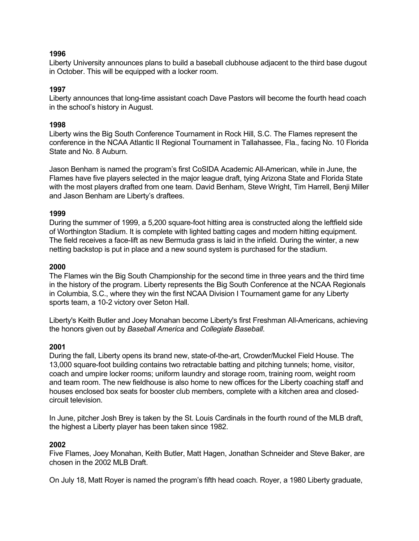### **1996**

Liberty University announces plans to build a baseball clubhouse adjacent to the third base dugout in October. This will be equipped with a locker room.

#### **1997**

Liberty announces that long-time assistant coach Dave Pastors will become the fourth head coach in the school's history in August.

#### **1998**

Liberty wins the Big South Conference Tournament in Rock Hill, S.C. The Flames represent the conference in the NCAA Atlantic II Regional Tournament in Tallahassee, Fla., facing No. 10 Florida State and No. 8 Auburn.

Jason Benham is named the program's first CoSIDA Academic All-American, while in June, the Flames have five players selected in the major league draft, tying Arizona State and Florida State with the most players drafted from one team. David Benham, Steve Wright, Tim Harrell, Benji Miller and Jason Benham are Liberty's draftees.

#### **1999**

During the summer of 1999, a 5,200 square-foot hitting area is constructed along the leftfield side of Worthington Stadium. It is complete with lighted batting cages and modern hitting equipment. The field receives a face-lift as new Bermuda grass is laid in the infield. During the winter, a new netting backstop is put in place and a new sound system is purchased for the stadium.

#### **2000**

The Flames win the Big South Championship for the second time in three years and the third time in the history of the program. Liberty represents the Big South Conference at the NCAA Regionals in Columbia, S.C., where they win the first NCAA Division I Tournament game for any Liberty sports team, a 10-2 victory over Seton Hall.

Liberty's Keith Butler and Joey Monahan become Liberty's first Freshman All-Americans, achieving the honors given out by *Baseball America* and *Collegiate Baseball*.

#### **2001**

During the fall, Liberty opens its brand new, state-of-the-art, Crowder/Muckel Field House. The 13,000 square-foot building contains two retractable batting and pitching tunnels; home, visitor, coach and umpire locker rooms; uniform laundry and storage room, training room, weight room and team room. The new fieldhouse is also home to new offices for the Liberty coaching staff and houses enclosed box seats for booster club members, complete with a kitchen area and closedcircuit television.

In June, pitcher Josh Brey is taken by the St. Louis Cardinals in the fourth round of the MLB draft, the highest a Liberty player has been taken since 1982.

#### **2002**

Five Flames, Joey Monahan, Keith Butler, Matt Hagen, Jonathan Schneider and Steve Baker, are chosen in the 2002 MLB Draft.

On July 18, Matt Royer is named the program's fifth head coach. Royer, a 1980 Liberty graduate,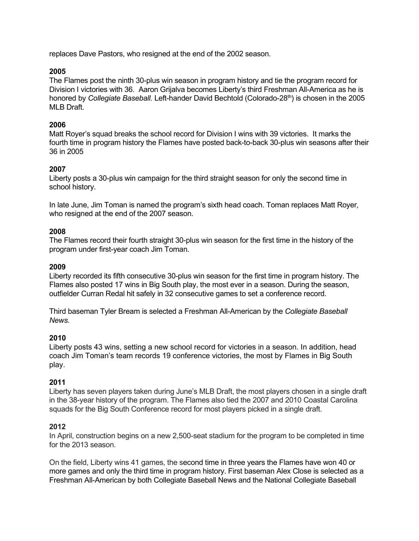replaces Dave Pastors, who resigned at the end of the 2002 season.

### **2005**

The Flames post the ninth 30-plus win season in program history and tie the program record for Division I victories with 36. Aaron Grijalva becomes Liberty's third Freshman All-America as he is honored by *Collegiate Baseball*. Left-hander David Bechtold (Colorado-28<sup>th</sup>) is chosen in the 2005 MLB Draft.

#### **2006**

Matt Royer's squad breaks the school record for Division I wins with 39 victories. It marks the fourth time in program history the Flames have posted back-to-back 30-plus win seasons after their 36 in 2005

#### **2007**

Liberty posts a 30-plus win campaign for the third straight season for only the second time in school history.

In late June, Jim Toman is named the program's sixth head coach. Toman replaces Matt Royer, who resigned at the end of the 2007 season.

#### **2008**

The Flames record their fourth straight 30-plus win season for the first time in the history of the program under first-year coach Jim Toman.

#### **2009**

Liberty recorded its fifth consecutive 30-plus win season for the first time in program history. The Flames also posted 17 wins in Big South play, the most ever in a season. During the season, outfielder Curran Redal hit safely in 32 consecutive games to set a conference record.

Third baseman Tyler Bream is selected a Freshman All-American by the *Collegiate Baseball News*.

#### **2010**

Liberty posts 43 wins, setting a new school record for victories in a season. In addition, head coach Jim Toman's team records 19 conference victories, the most by Flames in Big South play.

#### **2011**

Liberty has seven players taken during June's MLB Draft, the most players chosen in a single draft in the 38-year history of the program. The Flames also tied the 2007 and 2010 Coastal Carolina squads for the Big South Conference record for most players picked in a single draft.

#### **2012**

In April, construction begins on a new 2,500-seat stadium for the program to be completed in time for the 2013 season.

On the field, Liberty wins 41 games, the second time in three years the Flames have won 40 or more games and only the third time in program history. First baseman Alex Close is selected as a Freshman All-American by both Collegiate Baseball News and the National Collegiate Baseball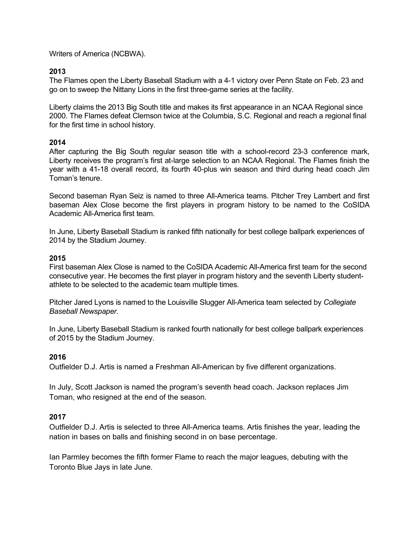Writers of America (NCBWA).

## **2013**

The Flames open the Liberty Baseball Stadium with a 4-1 victory over Penn State on Feb. 23 and go on to sweep the Nittany Lions in the first three-game series at the facility.

Liberty claims the 2013 Big South title and makes its first appearance in an NCAA Regional since 2000. The Flames defeat Clemson twice at the Columbia, S.C. Regional and reach a regional final for the first time in school history.

### **2014**

After capturing the Big South regular season title with a school-record 23-3 conference mark, Liberty receives the program's first at-large selection to an NCAA Regional. The Flames finish the year with a 41-18 overall record, its fourth 40-plus win season and third during head coach Jim Toman's tenure.

Second baseman Ryan Seiz is named to three All-America teams. Pitcher Trey Lambert and first baseman Alex Close become the first players in program history to be named to the CoSIDA Academic All-America first team.

In June, Liberty Baseball Stadium is ranked fifth nationally for best college ballpark experiences of 2014 by the Stadium Journey.

### **2015**

First baseman Alex Close is named to the CoSIDA Academic All-America first team for the second consecutive year. He becomes the first player in program history and the seventh Liberty studentathlete to be selected to the academic team multiple times.

Pitcher Jared Lyons is named to the Louisville Slugger All-America team selected by *Collegiate Baseball Newspaper*.

In June, Liberty Baseball Stadium is ranked fourth nationally for best college ballpark experiences of 2015 by the Stadium Journey.

### **2016**

Outfielder D.J. Artis is named a Freshman All-American by five different organizations.

In July, Scott Jackson is named the program's seventh head coach. Jackson replaces Jim Toman, who resigned at the end of the season.

### **2017**

Outfielder D.J. Artis is selected to three All-America teams. Artis finishes the year, leading the nation in bases on balls and finishing second in on base percentage.

Ian Parmley becomes the fifth former Flame to reach the major leagues, debuting with the Toronto Blue Jays in late June.